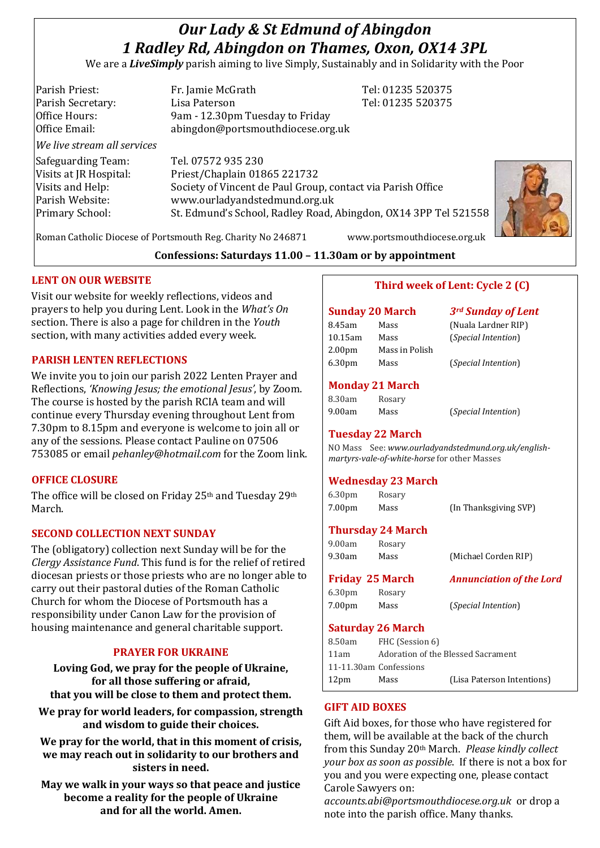# *Our Lady & St Edmund of Abingdon 1 Radley Rd, Abingdon on Thames, Oxon, OX14 3PL*

We are a *LiveSimply* parish aiming to live Simply, Sustainably and in Solidarity with the Poor

| Parish Priest:              | Fr. Jamie McGrath                                               | Tel: 01235 520375 |
|-----------------------------|-----------------------------------------------------------------|-------------------|
| Parish Secretary:           | Lisa Paterson                                                   | Tel: 01235 520375 |
| Office Hours:               | 9am - 12.30pm Tuesday to Friday                                 |                   |
| Office Email:               | abingdon@portsmouthdiocese.org.uk                               |                   |
| We live stream all services |                                                                 |                   |
| Safeguarding Team:          | Tel. 07572 935 230                                              |                   |
| Visits at JR Hospital:      | Priest/Chaplain 01865 221732                                    |                   |
| Visits and Help:            | Society of Vincent de Paul Group, contact via Parish Office     |                   |
| Parish Website:             | www.ourladyandstedmund.org.uk                                   |                   |
| Primary School:             | St. Edmund's School, Radley Road, Abingdon, OX14 3PP Tel 521558 |                   |
|                             |                                                                 |                   |



Roman Catholic Diocese of Portsmouth Reg. Charity No 246871 www.portsmouthdiocese.org.uk

## **Confessions: Saturdays 11.00 – 11.30am or by appointment**

## **LENT ON OUR WEBSITE**

Visit our website for weekly reflections, videos and prayers to help you during Lent. Look in the *What's On* section. There is also a page for children in the *Youth* section, with many activities added every week.

## **PARISH LENTEN REFLECTIONS**

We invite you to join our parish 2022 Lenten Prayer and Reflections, *'Knowing Jesus; the emotional Jesus'*, by Zoom. The course is hosted by the parish RCIA team and will continue every Thursday evening throughout Lent from 7.30pm to 8.15pm and everyone is welcome to join all or any of the sessions. Please contact Pauline on 07506 753085 or email *pehanley@hotmail.com* for the Zoom link.

## **OFFICE CLOSURE**

The office will be closed on Friday 25th and Tuesday 29th March.

## **SECOND COLLECTION NEXT SUNDAY**

The (obligatory) collection next Sunday will be for the *Clergy Assistance Fund*. This fund is for the relief of retired diocesan priests or those priests who are no longer able to carry out their pastoral duties of the Roman Catholic Church for whom the Diocese of Portsmouth has a responsibility under Canon Law for the provision of housing maintenance and general charitable support.

## **PRAYER FOR UKRAINE**

**Loving God, we pray for the people of Ukraine, for all those suffering or afraid, that you will be close to them and protect them.**

**We pray for world leaders, for compassion, strength and wisdom to guide their choices.**

**We pray for the world, that in this moment of crisis, we may reach out in solidarity to our brothers and sisters in need.**

**May we walk in your ways so that peace and justice become a reality for the people of Ukraine and for all the world. Amen.**

# **Third week of Lent: Cycle 2 (C)**

#### **Sunday 20 March** *3rd Sunday of Lent* 8.45am Mass (Nuala Lardner RIP) 10.15am Mass (*Special Intention*) 2.00pm Mass in Polish 6.30pm Mass (*Special Intention*)

## **Monday 21 March**

| 8.30am | Rosary |
|--------|--------|
| 9.00am | Mass   |

9.00am Mass (*Special Intention*)

# **Tuesday 22 March**

NO Mass See: *www.ourladyandstedmund.org.uk/englishmartyrs-vale-of-white-horse* for other Masses

## **Wednesday 23 March**

6.30pm Rosary 7.00pm Mass (In Thanksgiving SVP)

## **Thursday 24 March**

| 9.00am | Rosary |                      |
|--------|--------|----------------------|
| 9.30am | Mass   | (Michael Corden RIP) |

**Friday 25 March** *Annunciation of the Lord* 6.30pm Rosary

7.00pm Mass (*Special Intention*)

## **Saturday 26 March**

| 8.50am<br>FHC (Session 6)                  |                            |
|--------------------------------------------|----------------------------|
| Adoration of the Blessed Sacrament<br>11am |                            |
| 11-11.30am Confessions                     |                            |
| 12 <sub>pm</sub><br>Mass                   | (Lisa Paterson Intentions) |

## **GIFT AID BOXES**

Gift Aid boxes, for those who have registered for them, will be available at the back of the church from this Sunday 20th March. *Please kindly collect your box as soon as possible*. If there is not a box for you and you were expecting one, please contact Carole Sawyers on:

*accounts.abi@portsmouthdiocese.org.uk* or drop a note into the parish office. Many thanks.